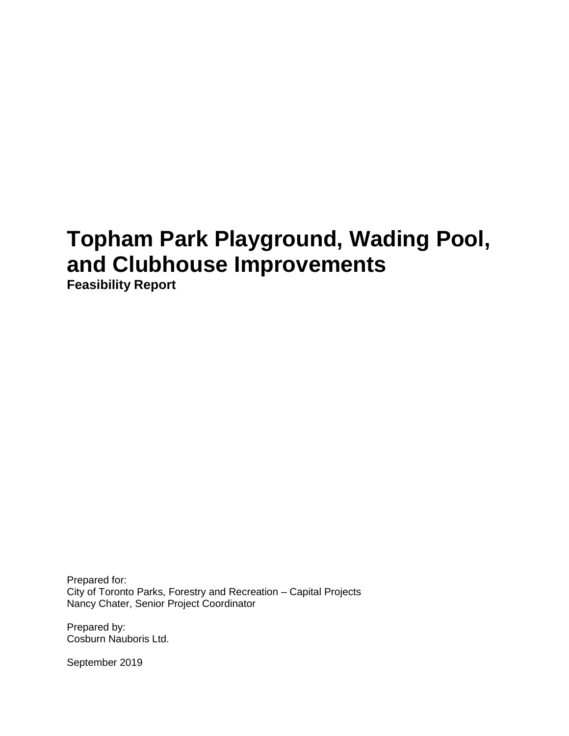# **Topham Park Playground, Wading Pool, and Clubhouse Improvements**

**Feasibility Report**

Prepared for: City of Toronto Parks, Forestry and Recreation – Capital Projects Nancy Chater, Senior Project Coordinator

Prepared by: Cosburn Nauboris Ltd.

September 2019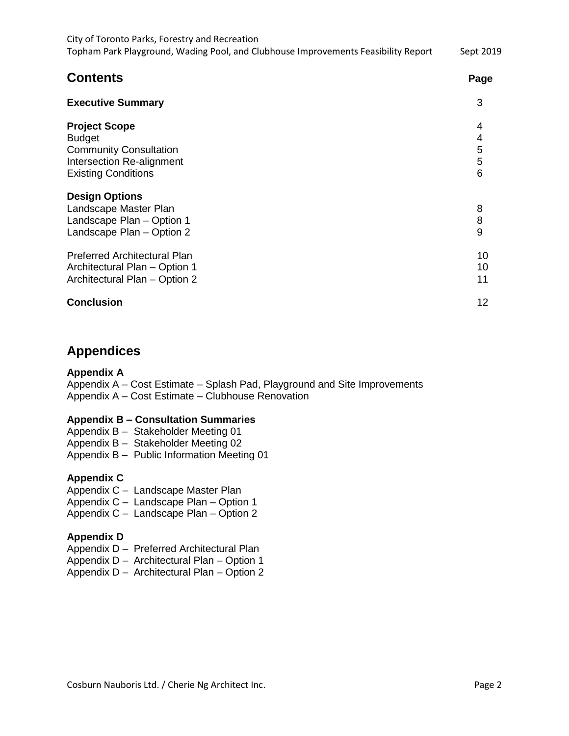| City of Toronto Parks, Forestry and Recreation<br>Topham Park Playground, Wading Pool, and Clubhouse Improvements Feasibility Report<br><b>Contents</b> | Sept 2019<br>Page     |
|---------------------------------------------------------------------------------------------------------------------------------------------------------|-----------------------|
|                                                                                                                                                         |                       |
| <b>Project Scope</b><br><b>Budget</b><br><b>Community Consultation</b><br>Intersection Re-alignment<br><b>Existing Conditions</b>                       | 4<br>4<br>5<br>5<br>6 |
| <b>Design Options</b><br>Landscape Master Plan<br>Landscape Plan - Option 1<br>Landscape Plan - Option 2                                                | 8<br>8<br>9           |
| <b>Preferred Architectural Plan</b><br>Architectural Plan - Option 1<br>Architectural Plan - Option 2                                                   | 10<br>10<br>11        |
| <b>Conclusion</b>                                                                                                                                       | 12                    |

# **Appendices**

### **Appendix A**

Appendix A – Cost Estimate – Splash Pad, Playground and Site Improvements Appendix A – Cost Estimate – Clubhouse Renovation

#### **Appendix B – Consultation Summaries**

Appendix B – Stakeholder Meeting 01

Appendix B – Stakeholder Meeting 02

Appendix B – Public Information Meeting 01

### **Appendix C**

Appendix C – Landscape Master Plan

Appendix C – Landscape Plan – Option 1

Appendix C – Landscape Plan – Option 2

### **Appendix D**

Appendix D – Preferred Architectural Plan

Appendix D – Architectural Plan – Option 1

Appendix D – Architectural Plan – Option 2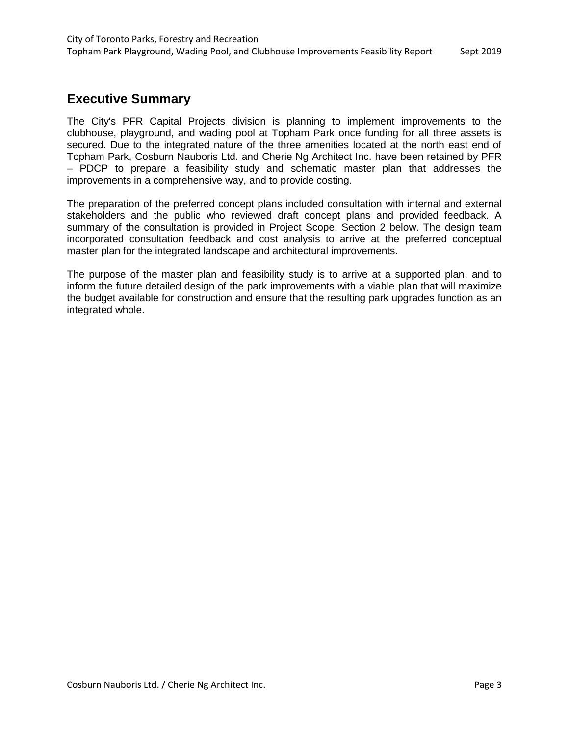### **Executive Summary**

The City's PFR Capital Projects division is planning to implement improvements to the clubhouse, playground, and wading pool at Topham Park once funding for all three assets is secured. Due to the integrated nature of the three amenities located at the north east end of Topham Park, Cosburn Nauboris Ltd. and Cherie Ng Architect Inc. have been retained by PFR – PDCP to prepare a feasibility study and schematic master plan that addresses the improvements in a comprehensive way, and to provide costing.

The preparation of the preferred concept plans included consultation with internal and external stakeholders and the public who reviewed draft concept plans and provided feedback. A summary of the consultation is provided in Project Scope, Section 2 below. The design team incorporated consultation feedback and cost analysis to arrive at the preferred conceptual master plan for the integrated landscape and architectural improvements.

The purpose of the master plan and feasibility study is to arrive at a supported plan, and to inform the future detailed design of the park improvements with a viable plan that will maximize the budget available for construction and ensure that the resulting park upgrades function as an integrated whole.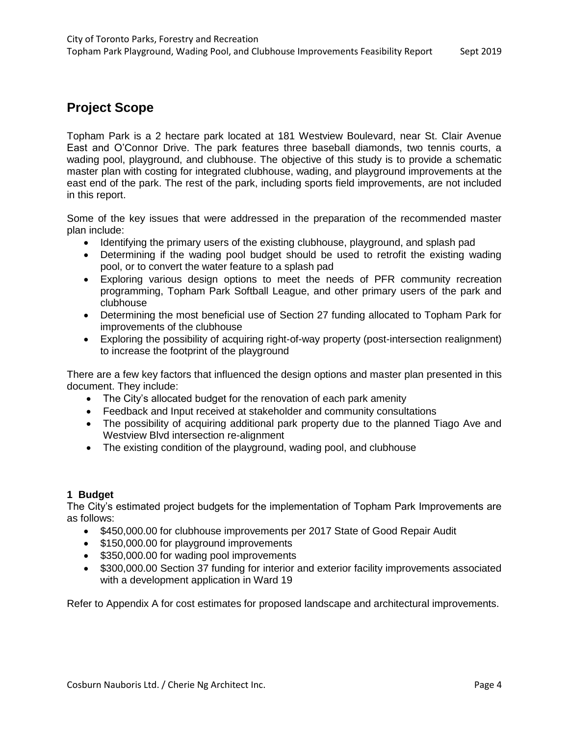# **Project Scope**

Topham Park is a 2 hectare park located at 181 Westview Boulevard, near St. Clair Avenue East and O'Connor Drive. The park features three baseball diamonds, two tennis courts, a wading pool, playground, and clubhouse. The objective of this study is to provide a schematic master plan with costing for integrated clubhouse, wading, and playground improvements at the east end of the park. The rest of the park, including sports field improvements, are not included in this report.

Some of the key issues that were addressed in the preparation of the recommended master plan include:

- Identifying the primary users of the existing clubhouse, playground, and splash pad
- Determining if the wading pool budget should be used to retrofit the existing wading pool, or to convert the water feature to a splash pad
- Exploring various design options to meet the needs of PFR community recreation programming, Topham Park Softball League, and other primary users of the park and clubhouse
- Determining the most beneficial use of Section 27 funding allocated to Topham Park for improvements of the clubhouse
- Exploring the possibility of acquiring right-of-way property (post-intersection realignment) to increase the footprint of the playground

There are a few key factors that influenced the design options and master plan presented in this document. They include:

- The City's allocated budget for the renovation of each park amenity
- Feedback and Input received at stakeholder and community consultations
- The possibility of acquiring additional park property due to the planned Tiago Ave and Westview Blvd intersection re-alignment
- The existing condition of the playground, wading pool, and clubhouse

### **1 Budget**

The City's estimated project budgets for the implementation of Topham Park Improvements are as follows:

- \$450,000.00 for clubhouse improvements per 2017 State of Good Repair Audit
- \$150,000.00 for playground improvements
- \$350,000.00 for wading pool improvements
- \$300,000.00 Section 37 funding for interior and exterior facility improvements associated with a development application in Ward 19

Refer to Appendix A for cost estimates for proposed landscape and architectural improvements.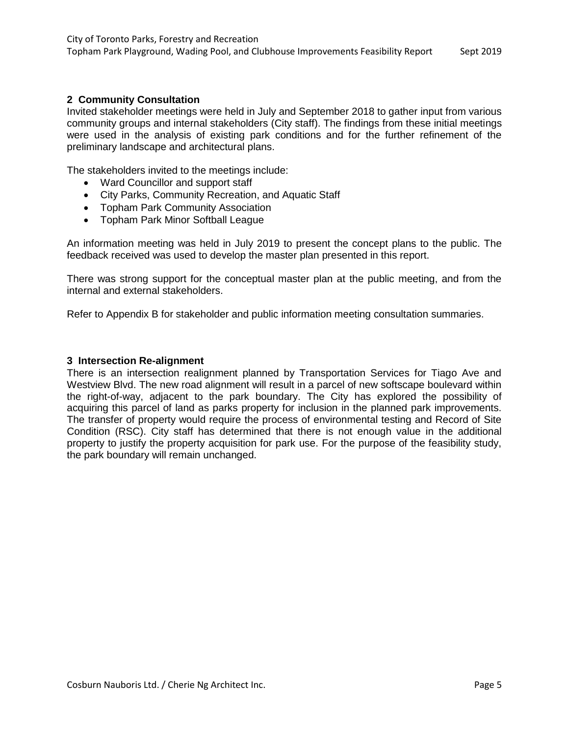### **2 Community Consultation**

Invited stakeholder meetings were held in July and September 2018 to gather input from various community groups and internal stakeholders (City staff). The findings from these initial meetings were used in the analysis of existing park conditions and for the further refinement of the preliminary landscape and architectural plans.

The stakeholders invited to the meetings include:

- Ward Councillor and support staff
- City Parks, Community Recreation, and Aquatic Staff
- Topham Park Community Association
- Topham Park Minor Softball League

An information meeting was held in July 2019 to present the concept plans to the public. The feedback received was used to develop the master plan presented in this report.

There was strong support for the conceptual master plan at the public meeting, and from the internal and external stakeholders.

Refer to Appendix B for stakeholder and public information meeting consultation summaries.

#### **3 Intersection Re-alignment**

There is an intersection realignment planned by Transportation Services for Tiago Ave and Westview Blvd. The new road alignment will result in a parcel of new softscape boulevard within the right-of-way, adjacent to the park boundary. The City has explored the possibility of acquiring this parcel of land as parks property for inclusion in the planned park improvements. The transfer of property would require the process of environmental testing and Record of Site Condition (RSC). City staff has determined that there is not enough value in the additional property to justify the property acquisition for park use. For the purpose of the feasibility study, the park boundary will remain unchanged.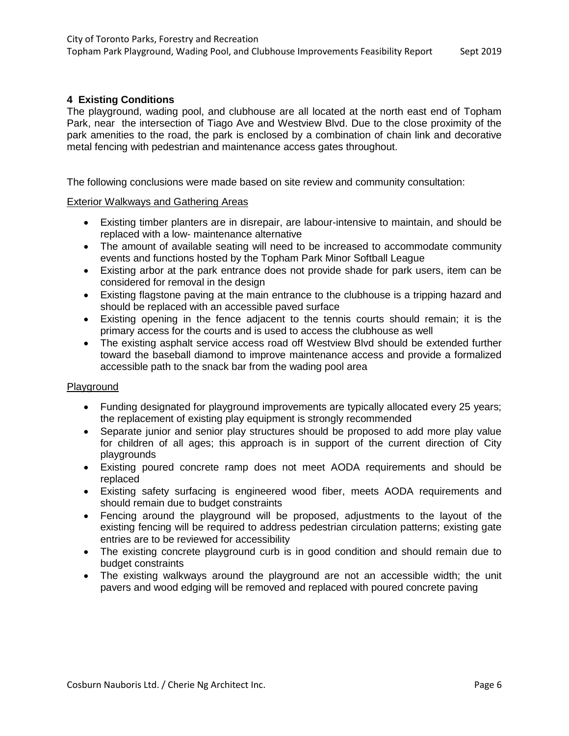### **4 Existing Conditions**

The playground, wading pool, and clubhouse are all located at the north east end of Topham Park, near the intersection of Tiago Ave and Westview Blvd. Due to the close proximity of the park amenities to the road, the park is enclosed by a combination of chain link and decorative metal fencing with pedestrian and maintenance access gates throughout.

The following conclusions were made based on site review and community consultation:

#### Exterior Walkways and Gathering Areas

- Existing timber planters are in disrepair, are labour-intensive to maintain, and should be replaced with a low- maintenance alternative
- The amount of available seating will need to be increased to accommodate community events and functions hosted by the Topham Park Minor Softball League
- Existing arbor at the park entrance does not provide shade for park users, item can be considered for removal in the design
- Existing flagstone paving at the main entrance to the clubhouse is a tripping hazard and should be replaced with an accessible paved surface
- Existing opening in the fence adjacent to the tennis courts should remain; it is the primary access for the courts and is used to access the clubhouse as well
- The existing asphalt service access road off Westview Blvd should be extended further toward the baseball diamond to improve maintenance access and provide a formalized accessible path to the snack bar from the wading pool area

#### Playground

- Funding designated for playground improvements are typically allocated every 25 years; the replacement of existing play equipment is strongly recommended
- Separate junior and senior play structures should be proposed to add more play value for children of all ages; this approach is in support of the current direction of City playgrounds
- Existing poured concrete ramp does not meet AODA requirements and should be replaced
- Existing safety surfacing is engineered wood fiber, meets AODA requirements and should remain due to budget constraints
- Fencing around the playground will be proposed, adjustments to the layout of the existing fencing will be required to address pedestrian circulation patterns; existing gate entries are to be reviewed for accessibility
- The existing concrete playground curb is in good condition and should remain due to budget constraints
- The existing walkways around the playground are not an accessible width; the unit pavers and wood edging will be removed and replaced with poured concrete paving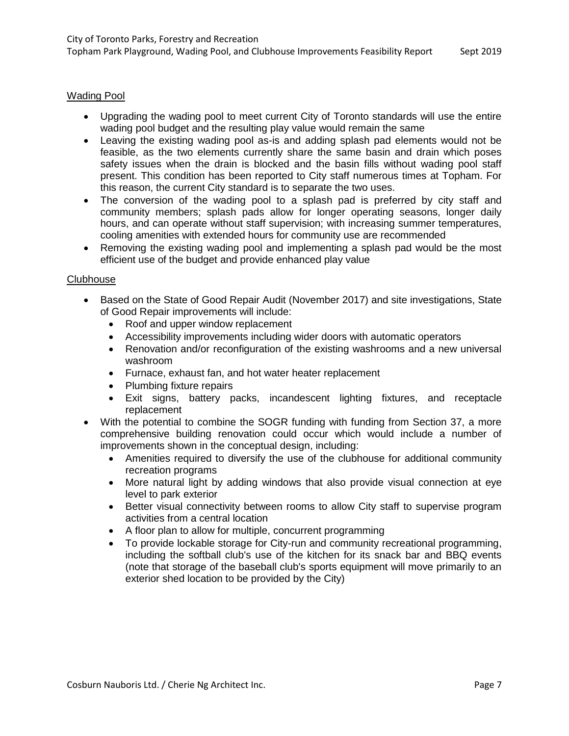### Wading Pool

- Upgrading the wading pool to meet current City of Toronto standards will use the entire wading pool budget and the resulting play value would remain the same
- Leaving the existing wading pool as-is and adding splash pad elements would not be feasible, as the two elements currently share the same basin and drain which poses safety issues when the drain is blocked and the basin fills without wading pool staff present. This condition has been reported to City staff numerous times at Topham. For this reason, the current City standard is to separate the two uses.
- The conversion of the wading pool to a splash pad is preferred by city staff and community members; splash pads allow for longer operating seasons, longer daily hours, and can operate without staff supervision; with increasing summer temperatures, cooling amenities with extended hours for community use are recommended
- Removing the existing wading pool and implementing a splash pad would be the most efficient use of the budget and provide enhanced play value

#### **Clubhouse**

- Based on the State of Good Repair Audit (November 2017) and site investigations, State of Good Repair improvements will include:
	- Roof and upper window replacement
	- Accessibility improvements including wider doors with automatic operators
	- Renovation and/or reconfiguration of the existing washrooms and a new universal washroom
	- Furnace, exhaust fan, and hot water heater replacement
	- Plumbing fixture repairs
	- Exit signs, battery packs, incandescent lighting fixtures, and receptacle replacement
- With the potential to combine the SOGR funding with funding from Section 37, a more comprehensive building renovation could occur which would include a number of improvements shown in the conceptual design, including:
	- Amenities required to diversify the use of the clubhouse for additional community recreation programs
	- More natural light by adding windows that also provide visual connection at eye level to park exterior
	- Better visual connectivity between rooms to allow City staff to supervise program activities from a central location
	- A floor plan to allow for multiple, concurrent programming
	- To provide lockable storage for City-run and community recreational programming, including the softball club's use of the kitchen for its snack bar and BBQ events (note that storage of the baseball club's sports equipment will move primarily to an exterior shed location to be provided by the City)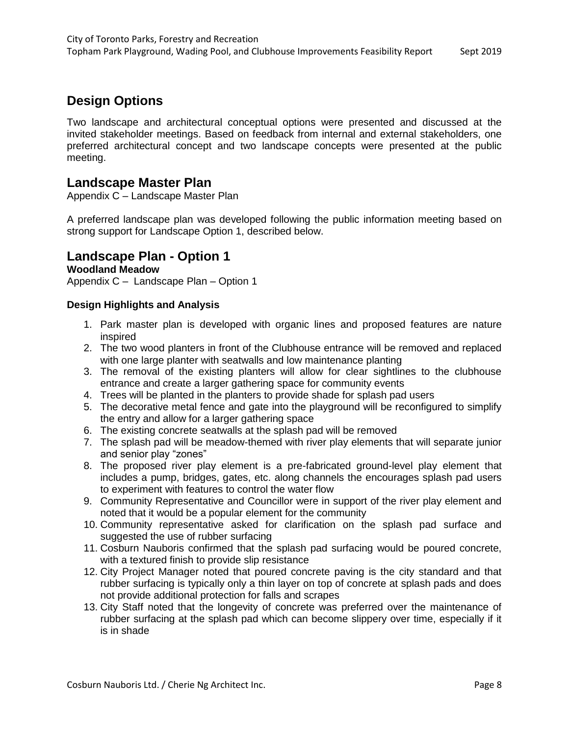# **Design Options**

Two landscape and architectural conceptual options were presented and discussed at the invited stakeholder meetings. Based on feedback from internal and external stakeholders, one preferred architectural concept and two landscape concepts were presented at the public meeting.

### **Landscape Master Plan**

Appendix C – Landscape Master Plan

A preferred landscape plan was developed following the public information meeting based on strong support for Landscape Option 1, described below.

### **Landscape Plan - Option 1**

### **Woodland Meadow**

Appendix C – Landscape Plan – Option 1

### **Design Highlights and Analysis**

- 1. Park master plan is developed with organic lines and proposed features are nature inspired
- 2. The two wood planters in front of the Clubhouse entrance will be removed and replaced with one large planter with seatwalls and low maintenance planting
- 3. The removal of the existing planters will allow for clear sightlines to the clubhouse entrance and create a larger gathering space for community events
- 4. Trees will be planted in the planters to provide shade for splash pad users
- 5. The decorative metal fence and gate into the playground will be reconfigured to simplify the entry and allow for a larger gathering space
- 6. The existing concrete seatwalls at the splash pad will be removed
- 7. The splash pad will be meadow-themed with river play elements that will separate junior and senior play "zones"
- 8. The proposed river play element is a pre-fabricated ground-level play element that includes a pump, bridges, gates, etc. along channels the encourages splash pad users to experiment with features to control the water flow
- 9. Community Representative and Councillor were in support of the river play element and noted that it would be a popular element for the community
- 10. Community representative asked for clarification on the splash pad surface and suggested the use of rubber surfacing
- 11. Cosburn Nauboris confirmed that the splash pad surfacing would be poured concrete, with a textured finish to provide slip resistance
- 12. City Project Manager noted that poured concrete paving is the city standard and that rubber surfacing is typically only a thin layer on top of concrete at splash pads and does not provide additional protection for falls and scrapes
- 13. City Staff noted that the longevity of concrete was preferred over the maintenance of rubber surfacing at the splash pad which can become slippery over time, especially if it is in shade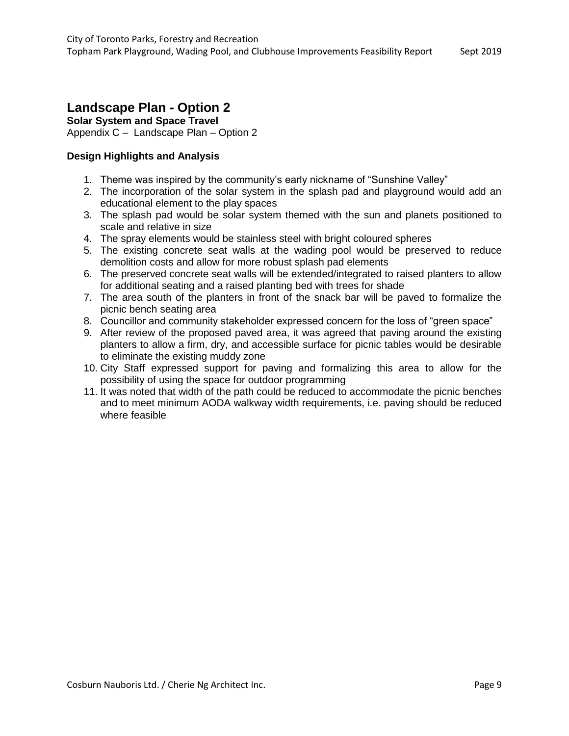# **Landscape Plan - Option 2**

**Solar System and Space Travel**

Appendix C – Landscape Plan – Option 2

### **Design Highlights and Analysis**

- 1. Theme was inspired by the community's early nickname of "Sunshine Valley"
- 2. The incorporation of the solar system in the splash pad and playground would add an educational element to the play spaces
- 3. The splash pad would be solar system themed with the sun and planets positioned to scale and relative in size
- 4. The spray elements would be stainless steel with bright coloured spheres
- 5. The existing concrete seat walls at the wading pool would be preserved to reduce demolition costs and allow for more robust splash pad elements
- 6. The preserved concrete seat walls will be extended/integrated to raised planters to allow for additional seating and a raised planting bed with trees for shade
- 7. The area south of the planters in front of the snack bar will be paved to formalize the picnic bench seating area
- 8. Councillor and community stakeholder expressed concern for the loss of "green space"
- 9. After review of the proposed paved area, it was agreed that paving around the existing planters to allow a firm, dry, and accessible surface for picnic tables would be desirable to eliminate the existing muddy zone
- 10. City Staff expressed support for paving and formalizing this area to allow for the possibility of using the space for outdoor programming
- 11. It was noted that width of the path could be reduced to accommodate the picnic benches and to meet minimum AODA walkway width requirements, i.e. paving should be reduced where feasible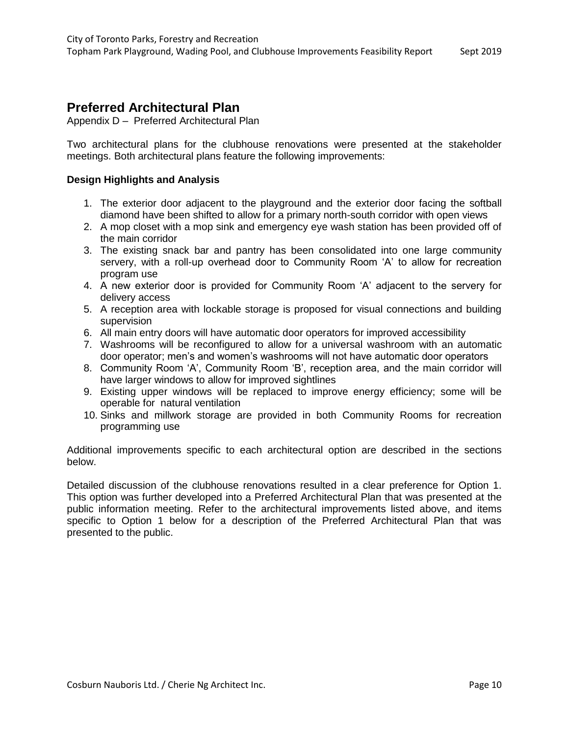### **Preferred Architectural Plan**

Appendix D – Preferred Architectural Plan

Two architectural plans for the clubhouse renovations were presented at the stakeholder meetings. Both architectural plans feature the following improvements:

### **Design Highlights and Analysis**

- 1. The exterior door adjacent to the playground and the exterior door facing the softball diamond have been shifted to allow for a primary north-south corridor with open views
- 2. A mop closet with a mop sink and emergency eye wash station has been provided off of the main corridor
- 3. The existing snack bar and pantry has been consolidated into one large community servery, with a roll-up overhead door to Community Room 'A' to allow for recreation program use
- 4. A new exterior door is provided for Community Room 'A' adjacent to the servery for delivery access
- 5. A reception area with lockable storage is proposed for visual connections and building supervision
- 6. All main entry doors will have automatic door operators for improved accessibility
- 7. Washrooms will be reconfigured to allow for a universal washroom with an automatic door operator; men's and women's washrooms will not have automatic door operators
- 8. Community Room 'A', Community Room 'B', reception area, and the main corridor will have larger windows to allow for improved sightlines
- 9. Existing upper windows will be replaced to improve energy efficiency; some will be operable for natural ventilation
- 10. Sinks and millwork storage are provided in both Community Rooms for recreation programming use

Additional improvements specific to each architectural option are described in the sections below.

Detailed discussion of the clubhouse renovations resulted in a clear preference for Option 1. This option was further developed into a Preferred Architectural Plan that was presented at the public information meeting. Refer to the architectural improvements listed above, and items specific to Option 1 below for a description of the Preferred Architectural Plan that was presented to the public.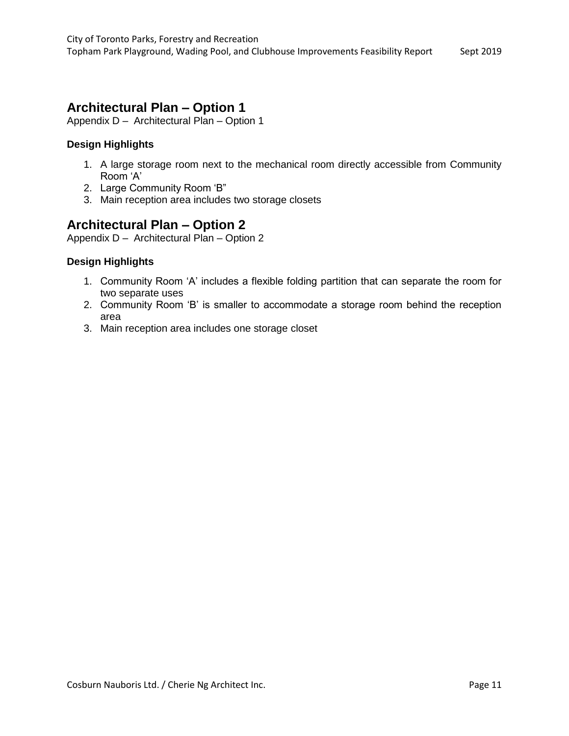### **Architectural Plan – Option 1**

Appendix D – Architectural Plan – Option 1

### **Design Highlights**

- 1. A large storage room next to the mechanical room directly accessible from Community Room 'A'
- 2. Large Community Room 'B"
- 3. Main reception area includes two storage closets

### **Architectural Plan – Option 2**

Appendix D – Architectural Plan – Option 2

### **Design Highlights**

- 1. Community Room 'A' includes a flexible folding partition that can separate the room for two separate uses
- 2. Community Room 'B' is smaller to accommodate a storage room behind the reception area
- 3. Main reception area includes one storage closet